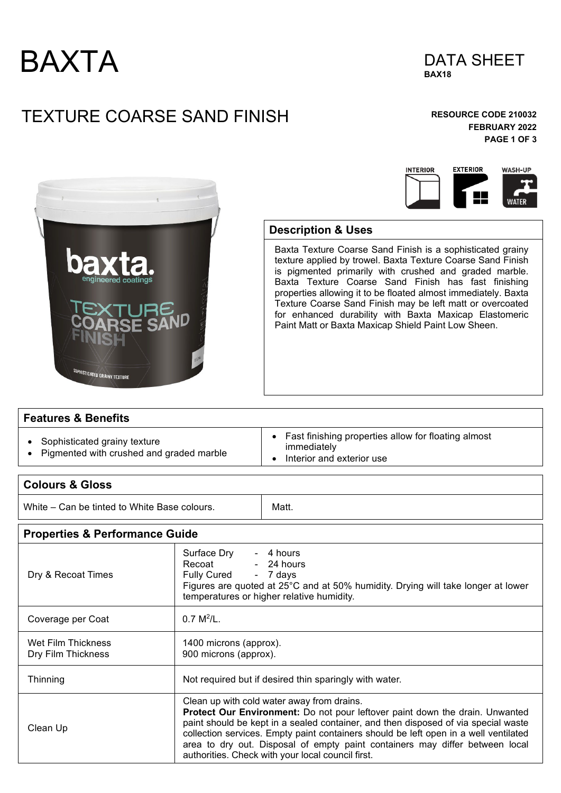



# TEXTURE COARSE SAND FINISH **RESOURCE CODE 210032**

### **FEBRUARY 2022 PAGE 1 OF 3**





#### **Description & Uses**

Baxta Texture Coarse Sand Finish is a sophisticated grainy texture applied by trowel. Baxta Texture Coarse Sand Finish is pigmented primarily with crushed and graded marble. Baxta Texture Coarse Sand Finish has fast finishing properties allowing it to be floated almost immediately. Baxta Texture Coarse Sand Finish may be left matt or overcoated for enhanced durability with Baxta Maxicap Elastomeric Paint Matt or Baxta Maxicap Shield Paint Low Sheen.

#### **Features & Benefits**

- Sophisticated grainy texture
- Pigmented with crushed and graded marble
- Fast finishing properties allow for floating almost
- immediately
- Interior and exterior use

#### **Colours & Gloss**

White – Can be tinted to White Base colours.  $\blacksquare$  Matt.

**Properties & Performance Guide**

| Dry & Recoat Times                       | Surface Dry<br>- 4 hours<br>$-24$ hours<br>Recoat<br>Fully Cured - 7 days<br>Figures are quoted at 25°C and at 50% humidity. Drying will take longer at lower<br>temperatures or higher relative humidity.                                                                                                                                                                                                                                    |
|------------------------------------------|-----------------------------------------------------------------------------------------------------------------------------------------------------------------------------------------------------------------------------------------------------------------------------------------------------------------------------------------------------------------------------------------------------------------------------------------------|
| Coverage per Coat                        | $0.7 M^2/L$ .                                                                                                                                                                                                                                                                                                                                                                                                                                 |
| Wet Film Thickness<br>Dry Film Thickness | 1400 microns (approx).<br>900 microns (approx).                                                                                                                                                                                                                                                                                                                                                                                               |
| Thinning                                 | Not required but if desired thin sparingly with water.                                                                                                                                                                                                                                                                                                                                                                                        |
| Clean Up                                 | Clean up with cold water away from drains.<br>Protect Our Environment: Do not pour leftover paint down the drain. Unwanted<br>paint should be kept in a sealed container, and then disposed of via special waste<br>collection services. Empty paint containers should be left open in a well ventilated<br>area to dry out. Disposal of empty paint containers may differ between local<br>authorities. Check with your local council first. |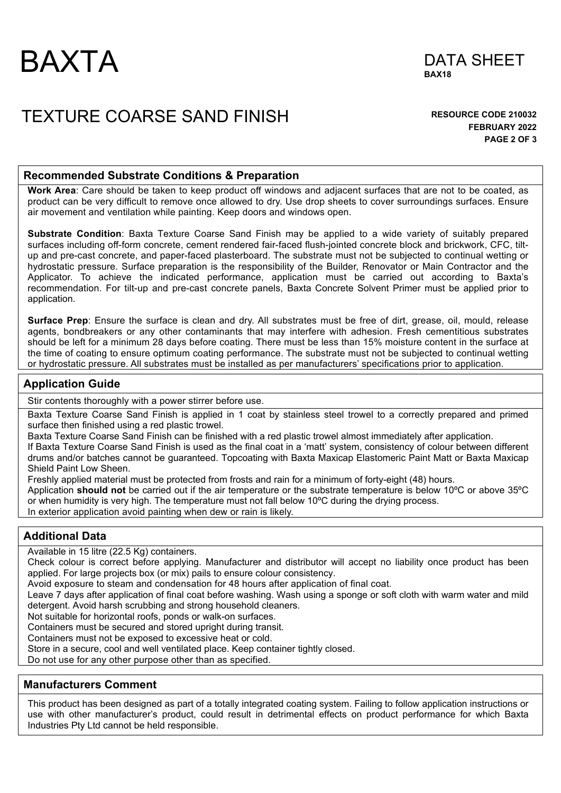



## TEXTURE COARSE SAND FINISH **RESOURCE CODE 210032**

**FEBRUARY 2022 PAGE 2 OF 3** 

#### **Recommended Substrate Conditions & Preparation**

**Work Area**: Care should be taken to keep product off windows and adjacent surfaces that are not to be coated, as product can be very difficult to remove once allowed to dry. Use drop sheets to cover surroundings surfaces. Ensure air movement and ventilation while painting. Keep doors and windows open.

**Substrate Condition**: Baxta Texture Coarse Sand Finish may be applied to a wide variety of suitably prepared surfaces including off-form concrete, cement rendered fair-faced flush-jointed concrete block and brickwork, CFC, tiltup and pre-cast concrete, and paper-faced plasterboard. The substrate must not be subjected to continual wetting or hydrostatic pressure. Surface preparation is the responsibility of the Builder, Renovator or Main Contractor and the Applicator. To achieve the indicated performance, application must be carried out according to Baxta's recommendation. For tilt-up and pre-cast concrete panels, Baxta Concrete Solvent Primer must be applied prior to application.

**Surface Prep**: Ensure the surface is clean and dry. All substrates must be free of dirt, grease, oil, mould, release agents, bondbreakers or any other contaminants that may interfere with adhesion. Fresh cementitious substrates should be left for a minimum 28 days before coating. There must be less than 15% moisture content in the surface at the time of coating to ensure optimum coating performance. The substrate must not be subjected to continual wetting or hydrostatic pressure. All substrates must be installed as per manufacturers' specifications prior to application.

#### **Application Guide**

Stir contents thoroughly with a power stirrer before use.

Baxta Texture Coarse Sand Finish is applied in 1 coat by stainless steel trowel to a correctly prepared and primed surface then finished using a red plastic trowel.

Baxta Texture Coarse Sand Finish can be finished with a red plastic trowel almost immediately after application.

If Baxta Texture Coarse Sand Finish is used as the final coat in a 'matt' system, consistency of colour between different drums and/or batches cannot be guaranteed. Topcoating with Baxta Maxicap Elastomeric Paint Matt or Baxta Maxicap Shield Paint Low Sheen.

Freshly applied material must be protected from frosts and rain for a minimum of forty-eight (48) hours.

Application **should not** be carried out if the air temperature or the substrate temperature is below 10ºC or above 35ºC or when humidity is very high. The temperature must not fall below 10ºC during the drying process.

In exterior application avoid painting when dew or rain is likely.

#### **Additional Data**

Available in 15 litre (22.5 Kg) containers.

Check colour is correct before applying. Manufacturer and distributor will accept no liability once product has been applied. For large projects box (or mix) pails to ensure colour consistency.

Avoid exposure to steam and condensation for 48 hours after application of final coat.

Leave 7 days after application of final coat before washing. Wash using a sponge or soft cloth with warm water and mild detergent. Avoid harsh scrubbing and strong household cleaners.

Not suitable for horizontal roofs, ponds or walk-on surfaces.

Containers must be secured and stored upright during transit.

Containers must not be exposed to excessive heat or cold.

Store in a secure, cool and well ventilated place. Keep container tightly closed.

Do not use for any other purpose other than as specified.

#### **Manufacturers Comment**

This product has been designed as part of a totally integrated coating system. Failing to follow application instructions or use with other manufacturer's product, could result in detrimental effects on product performance for which Baxta Industries Pty Ltd cannot be held responsible.